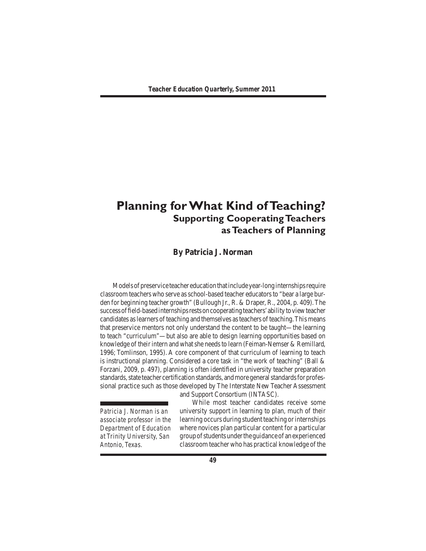# **Planning for What Kind of Teaching? Supporting Cooperating Teachers as Teachers of Planning**

# **By Patricia J. Norman**

Models of preservice teacher education that include year-long internships require classroom teachers who serve as school-based teacher educators to "bear a large burden for beginning teacher growth" (Bullough Jr., R. & Draper, R., 2004, p. 409).The successoffield-basedinternshipsrestsoncooperatingteachers'abilitytoviewteacher candidates aslearners ofteaching and themselves asteachers ofteaching.Thismeans that preservice mentors not only understand the content to be taught—the learning to teach "curriculum"—but also are able to design learning opportunities based on knowledge of their intern and what she needs to learn (Feiman-Nemser & Remillard, 1996; Tomlinson, 1995). A core component of that curriculum of learning to teach is instructional planning. Considered a core task in "the work of teaching" (Ball & Forzani, 2009, p. 497), planning is often identified in university teacher preparation standards, state teacher certification standards, and more general standards for professional practice such as those developed by The Interstate New Teacher Assessment

and Support Consortium (INTASC).

*Patricia J. Norman is an associate professor in the Department of Education at Trinity University, San Antonio, Texas.*

 While most teacher candidates receive some university support in learning to plan, much of their learning occurs during student teaching or internships where novices plan particular content for a particular groupofstudentsundertheguidanceof anexperienced classroom teacher who has practical knowledge of the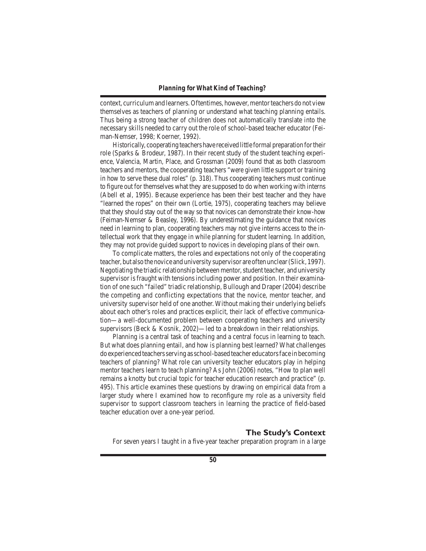context, curriculum and learners. Oftentimes, however, mentor teachers do not view themselves as teachers of planning or understand what teaching planning entails. Thus being a strong teacher of children does not automatically translate into the necessary skills needed to carry out the role of school-based teacher educator (Feiman-Nemser, 1998; Koerner, 1992).

 Historically, cooperating teachers have received little formal preparation fortheir role (Sparks & Brodeur, 1987). In their recent study of the student teaching experience, Valencia, Martin, Place, and Grossman (2009) found that as both classroom teachers and mentors, the cooperating teachers "were given little support or training in how to serve these dual roles" (p. 318). Thus cooperating teachers must continue to figure out for themselves what they are supposed to do when working with interns (Abell et al, 1995). Because experience has been their best teacher and they have "learned the ropes" on their own (Lortie, 1975), cooperating teachers may believe that they should stay out of the way so that novices can demonstrate their know-how (Feiman-Nemser & Beasley, 1996). By underestimating the guidance that novices need in learning to plan, cooperating teachers may not give interns access to the intellectual work that they engage in while planning for student learning. In addition, they may not provide guided support to novices in developing plans of their own.

 To complicate matters, the roles and expectations not only of the cooperating teacher, but also the novice and university supervisor are often unclear(Slick, 1997). Negotiating the triadic relationship between mentor, student teacher, and university supervisor is fraught with tensions including power and position. In their examination of one such "failed" triadic relationship, Bullough and Draper (2004) describe the competing and conflicting expectations that the novice, mentor teacher, and university supervisor held of one another. Without making their underlying beliefs about each other's roles and practices explicit, their lack of effective communication—a well-documented problem between cooperating teachers and university supervisors (Beck & Kosnik, 2002)—led to a breakdown in their relationships.

 Planning is a central task of teaching and a central focus in learning to teach. But what does planning entail, and how is planning best learned? What challenges doexperiencedteachersservingasschool-basedteacher educatorsface inbecoming teachers of planning? What role can university teacher educators play in helping mentor teachers learn to teach planning? As John (2006) notes, "How to plan well remains a knotty but crucial topic for teacher education research and practice" (p. 495). This article examines these questions by drawing on empirical data from a larger study where I examined how to reconfigure my role as a university field supervisor to support classroom teachers in learning the practice of field-based teacher education over a one-year period.

# **The Study's Context**

 For seven years I taught in a five-year teacher preparation program in a large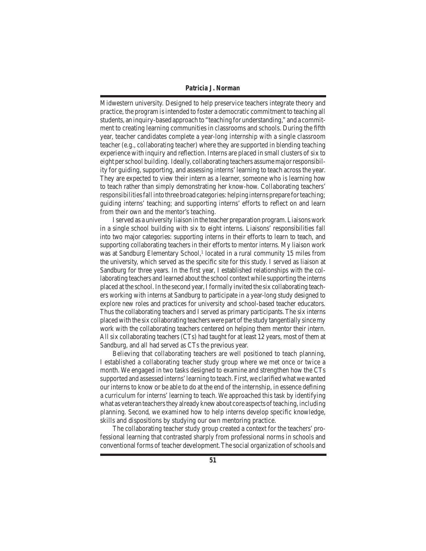Midwestern university. Designed to help preservice teachers integrate theory and practice, the program isintended to foster a democratic commitment to teaching all students, an inquiry-based approach to "teaching for understanding," and a commitment to creating learning communities in classrooms and schools. During the fifth year, teacher candidates complete a year-long internship with a single classroom teacher (e.g., collaborating teacher) where they are supported in blending teaching experience with inquiry and reflection. Interns are placed in small clusters of six to eight perschool building. Ideally, collaborating teachers assumemajorresponsibility for guiding, supporting, and assessing interns'learning to teach across the year. They are expected to view their intern as a learner, someone who is learning how to teach rather than simply demonstrating her know-how. Collaborating teachers' responsibilities fall into three broad categories: helping interns prepare for teaching; guiding interns' teaching; and supporting interns' efforts to reflect on and learn from their own and the mentor's teaching.

 Iserved as a university liaison in the teacher preparation program. Liaisons work in a single school building with six to eight interns. Liaisons' responsibilities fall into two major categories: supporting interns in their efforts to learn to teach, and supporting collaborating teachers in their efforts to mentor interns. My liaison work was at Sandburg Elementary School,<sup>1</sup> located in a rural community 15 miles from the university, which served as the specific site for this study. I served as liaison at Sandburg for three years. In the first year, I established relationships with the collaborating teachers and learned about the school context while supporting the interns placed at the school.In the second year,Iformally invited the six collaborating teachers working with interns at Sandburg to participate in a year-long study designed to explore new roles and practices for university and school-based teacher educators. Thus the collaborating teachers and I served as primary participants. The six interns placed with the six collaborating teachers were part of the study tangentially since my work with the collaborating teachers centered on helping them mentor their intern. All six collaborating teachers (CTs) had taught for at least 12 years, most of them at Sandburg, and all had served as CTs the previous year.

 Believing that collaborating teachers are well positioned to teach planning, I established a collaborating teacher study group where we met once or twice a month. We engaged in two tasks designed to examine and strengthen how the CTs supported and assessed interns'learning to teach. First, we clarified what we wanted our interns to know or be able to do at the end of the internship, in essence defining a curriculum for interns'learning to teach. We approached this task by identifying what as veteran teachers they already knew about core aspects of teaching, including planning. Second, we examined how to help interns develop specific knowledge, skills and dispositions by studying our own mentoring practice.

 The collaborating teacher study group created a context for the teachers' professional learning that contrasted sharply from professional norms in schools and conventional forms of teacher development.The social organization ofschools and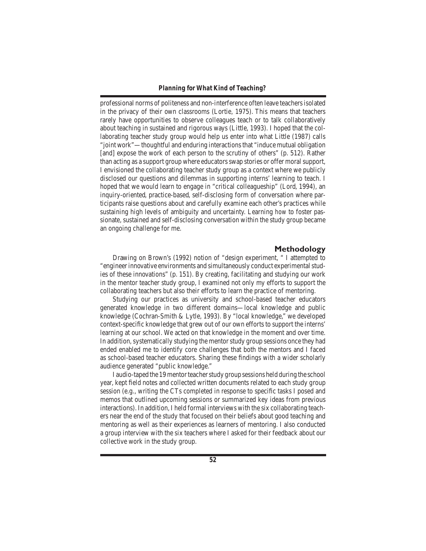professional norms of politeness and non-interference often leave teachersisolated in the privacy of their own classrooms (Lortie, 1975). This means that teachers rarely have opportunities to observe colleagues teach or to talk collaboratively about teaching in sustained and rigorous ways (Little, 1993). I hoped that the collaborating teacher study group would help us enter into what Little (1987) calls "joint work"—thoughtful and enduring interactionsthat "induce mutual obligation [and] expose the work of each person to the scrutiny of others" (p. 512). Rather than acting as a support group where educators swap stories or offer moral support, I envisioned the collaborating teacher study group as a context where we publicly disclosed our questions and dilemmas in supporting interns' learning to teach. I hoped that we would learn to engage in "critical colleagueship" (Lord, 1994), an inquiry-oriented, practice-based, self-disclosing form of conversation where participants raise questions about and carefully examine each other's practices while sustaining high levels of ambiguity and uncertainty. Learning *how* to foster passionate, sustained and self-disclosing conversation within the study group became an ongoing challenge for me.

# **Methodology**

 Drawing on Brown's (1992) notion of "design experiment, " I attempted to "engineerinnovative environments and simultaneously conduct experimentalstudies of these innovations" (p. 151). By creating, facilitating and studying our work in the mentor teacher study group, I examined not only my efforts to support the collaborating teachers but also their efforts to learn the practice of mentoring.

 Studying our practices as university and school-based teacher educators generated knowledge in two different domains—local knowledge and public knowledge (Cochran-Smith & Lytle, 1993). By "local knowledge," we developed context-specific knowledge that grew out of our own efforts to support the interns' learning at our school. We acted on that knowledge in the moment and over time. In addition, systematically studying the mentor study group sessions once they had ended enabled me to identify core challenges that both the mentors and I faced as school-based teacher educators. Sharing these findings with a wider scholarly audience generated "public knowledge."

I audio-taped the 19 mentor teacher study group sessions held during the school year, kept field notes and collected written documents related to each study group session (e.g., writing the CTs completed in response to specific tasks I posed and memos that outlined upcoming sessions or summarized key ideas from previous interactions). In addition, I held formal interviews with the six collaborating teachers near the end of the study that focused on their beliefs about good teaching and mentoring as well as their experiences as learners of mentoring. I also conducted a group interview with the six teachers where I asked for their feedback about our collective work in the study group.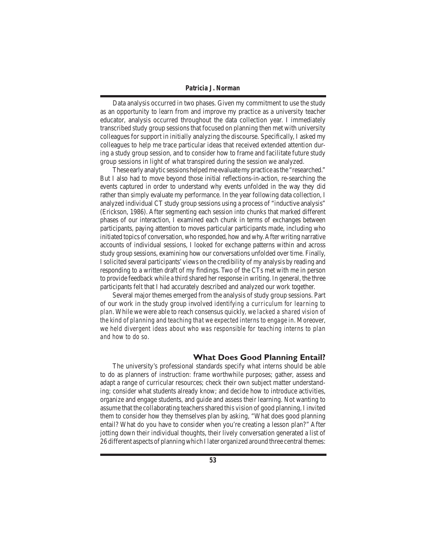Data analysis occurred in two phases. Given my commitment to use the study as an opportunity to learn from and improve my practice as a university teacher educator, analysis occurred throughout the data collection year. I immediately transcribed study group sessionsthat focused on planning then met with university colleagues for support in initially analyzing the discourse. Specifically, I asked my colleagues to help me trace particular ideas that received extended attention during a study group session, and to consider how to frame and facilitate future study group sessions in light of what transpired during the session we analyzed.

These early analytic sessions helped me evaluate my practice as the "researched." But I also had to move beyond those initial reflections-in-action, re-searching the events captured in order to understand why events unfolded in the way they did rather than simply evaluate my performance. In the year following data collection, I analyzed individual CT study group sessions using a process of "inductive analysis" (Erickson, 1986). After segmenting each session into chunks that marked different phases of our interaction, I examined each chunk in terms of exchanges between participants, paying attention to moves particular participants made, including who initiated topics of conversation, who responded, how and why.After writing narrative accounts of individual sessions, I looked for exchange patterns within and across study group sessions, examining how our conversations unfolded over time. Finally, Isolicited several participants'views on the credibility of my analysis by reading and responding to a written draft of my findings. Two of the CTs met with me in person to provide feedback while a third shared her response in writing. In general, the three participants felt that I had accurately described and analyzed our work together.

 Several major themes emerged from the analysis of study group sessions. Part of our work in the study group involved *identifying a curriculum for learning to plan*. While we were able to reach consensus quickly, we *lacked a shared vision of the kind of planning and teaching that we expected interns to engage in*. Moreover, we *held divergent ideas about who was responsible for teaching interns to plan and how to do so*.

# **What Does Good Planning Entail?**

 The university's professional standards specify what interns should be able to do as planners of instruction: frame worthwhile purposes; gather, assess and adapt a range of curricular resources; check their own subject matter understanding; consider what students already know; and decide how to introduce activities, organize and engage students, and guide and assess their learning. Not wanting to assume that the collaborating teachers shared this vision of good planning, I invited them to consider how they themselves plan by asking, "What does good planning entail? What do you have to consider when you're creating a lesson plan?" After jotting down their individual thoughts, their lively conversation generated a list of 26 different aspects of planning which I later organized around three central themes: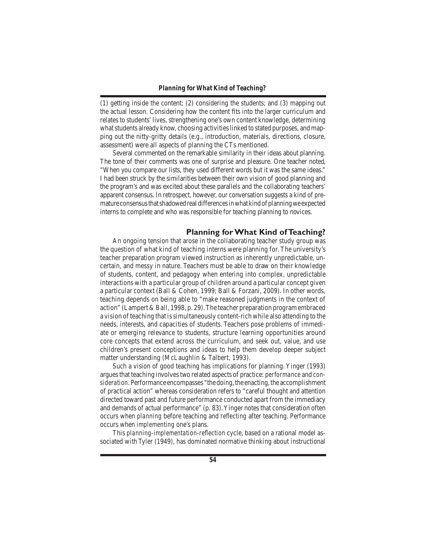(1) getting inside the content; (2) considering the students; and (3) mapping out the actual lesson. Considering how the content fits into the larger curriculum and relates to students'lives, strengthening one's own content knowledge, determining what students already know, choosing activities linked to stated purposes, and mapping out the nitty-gritty details (e.g., introduction, materials, directions, closure, assessment) were all aspects of planning the CTs mentioned.

 Several commented on the remarkable similarity in their ideas about planning. The tone of their comments was one of surprise and pleasure. One teacher noted, "When you compare our lists, they used different words but it was the same ideas." I had been struck by the similarities between their own vision of good planning and the program's and was excited about these parallels and the collaborating teachers' apparent consensus. In retrospect, however, our conversation suggests a kind of premature consensus that shadowed real differences in what kind of planning we expected interns to complete and who was responsible for teaching planning to novices.

# **Planning for What Kind of Teaching?**

 An ongoing tension that arose in the collaborating teacher study group was the question of what kind of teaching interns were planning for. The university's teacher preparation program viewed instruction as inherently unpredictable, uncertain, and messy in nature. Teachers must be able to draw on their knowledge of students, content, and pedagogy when entering into complex, unpredictable interactions with a particular group of children around a particular concept given a particular context (Ball & Cohen, 1999; Ball & Forzani, 2009). In other words, teaching depends on being able to "make reasoned judgments in the context of action" (Lampert & Ball, 1998, p. 29).The teacher preparation program embraced a vision of teaching that issimultaneously content-rich while also attending to the needs, interests, and capacities of students. Teachers pose problems of immediate or emerging relevance to students, structure learning opportunities around core concepts that extend across the curriculum, and seek out, value, and use children's present conceptions and ideas to help them develop deeper subject matter understanding (McLaughlin & Talbert, 1993).

 Such a vision of good teaching has implications for planning. Yinger (1993) arguesthat teaching involvestwo related aspects of practice: *performance* and *consideration*. Performance encompasses "the doing, the enacting, the accomplishment of practical action" whereas consideration refers to "careful thought and attention directed toward past and future performance conducted apart from the immediacy and demands of actual performance" (p. 83).Yinger notes that consideration often occurs when *planning* before teaching and *reflecting* after teaching. Performance occurs when *implementing* one's plans.

 This *planning-implementation-reflection* cycle, based on a rational model associated with Tyler (1949), has dominated normative thinking about instructional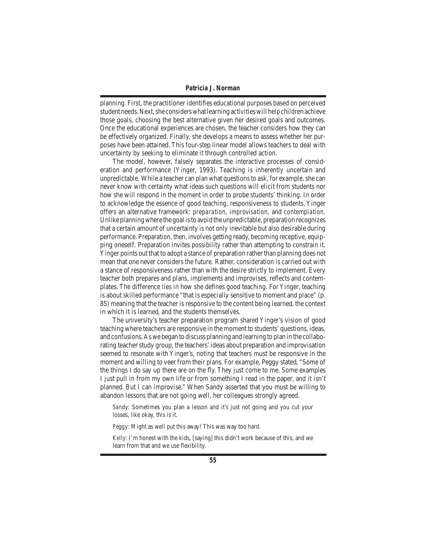planning. First, the practitioner identifies educational purposes based on perceived student needs. Next, she considers what learning activities will help children achieve those goals, choosing the best alternative given her desired goals and outcomes. Once the educational experiences are chosen, the teacher considers how they can be effectively organized. Finally, she develops a means to assess whether her purposes have been attained. This four-step linear model allows teachers to deal with uncertainty by seeking to eliminate it through controlled action.

 The model, however, falsely separates the interactive processes of consideration and performance (Yinger, 1993). Teaching is inherently uncertain and unpredictable. While a teacher can plan what questions to ask, for example, she can never know with certainty what ideas such questions will elicit from students nor how she will respond in the moment in order to probe students' thinking. In order to acknowledge the essence of good teaching, responsiveness to students, Yinger offers an alternative framework: *preparation, improvisation,* and *contemplation*. Unlike planning where the goal is to avoid the unpredictable, preparation recognizes that a certain amount of uncertainty is not only inevitable but also desirable during performance. Preparation, then, involves getting ready, becoming receptive, equipping oneself. Preparation invites possibility rather than attempting to constrain it. Yinger points out that to adopt a stance of preparation rather than planning does not mean that one never considers the future. Rather, consideration is carried out with a stance of responsiveness rather than with the desire strictly to implement. Every teacher both prepares and plans, implements and improvises, reflects and contemplates. The difference lies in how she defines good teaching. For Yinger, teaching is about skilled performance "that is especially sensitive to moment and place" (p. 85) meaning that the teacher is responsive to the content being learned, the context in which it is learned, and the students themselves.

 The university's teacher preparation program shared Yinger's vision of good teaching where teachers are responsive in the moment to students'questions, ideas, and confusions.As we began to discuss planning and learning to plan in the collaborating teacher study group, the teachers' ideas about preparation and improvisation seemed to resonate with Yinger's, noting that teachers must be responsive in the moment and willing to veer from their plans. For example, Peggy stated, "Some of the things I do say up there are on the fly. They just come to me. Some examples I just pull in from my own life or from something I read in the paper, and it isn't planned. But I can improvise." When Sandy asserted that you must be willing to abandon lessons that are not going well, her colleagues strongly agreed.

*Sandy*: Sometimes you plan a lesson and it's just not going and you cut your losses, like okay, this is it.

*Peggy*: Might as well put this away! This was way too hard.

*Kelly*: I'm honest with the kids, [saying] this didn't work because of this, and we learn from that and we use flexibility.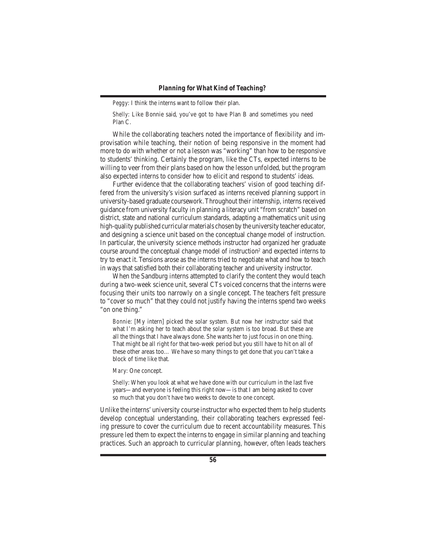*Peggy*: I think the interns want to follow their plan.

*Shelly*: Like Bonnie said, you've got to have Plan B and sometimes you need Plan C.

 While the collaborating teachers noted the importance of flexibility and improvisation while teaching, their notion of being responsive in the moment had more to do with whether or not a lesson was "working" than how to be responsive to students' thinking. Certainly the program, like the CTs, expected interns to be willing to veer from their plans based on how the lesson unfolded, but the program also expected interns to consider how to elicit and respond to students' ideas.

 Further evidence that the collaborating teachers' vision of good teaching differed from the university's vision surfaced as interns received planning support in university-based graduate coursework.Throughout their internship, internsreceived guidance from university faculty in planning a literacy unit "from scratch" based on district, state and national curriculum standards, adapting a mathematics unit using high-quality published curricular materials chosen by the university teacher educator, and designing a science unit based on the conceptual change model of instruction. In particular, the university science methods instructor had organized her graduate course around the conceptual change model of instruction<sup>2</sup> and expected interns to try to enact it. Tensions arose as the interns tried to negotiate what and how to teach in ways that satisfied both their collaborating teacher and university instructor.

 When the Sandburg interns attempted to clarify the content they would teach during a two-week science unit, several CTs voiced concerns that the interns were focusing their units too narrowly on a single concept. The teachers felt pressure to "cover so much" that they could not justify having the interns spend two weeks "on one thing."

*Bonnie*: [My intern] picked the solar system. But now her instructor said that what I'm asking her to teach about the solar system is too broad. But these are all the things that *I* have always done. She wants her to just focus in on one thing. That might be all right for that two-week period but you still have to hit on all of these other areas too… We have so many things to get done that you can't take a block of time like that.

*Mary*: One concept.

*Shelly*: When you look at what we have done with our curriculum in the last five years—and everyone is feeling this right now—is that I am being asked to cover so much that you don't have two weeks to devote to one concept.

Unlike the interns'university course instructor who expected them to help students develop conceptual understanding, their collaborating teachers expressed feeling pressure to cover the curriculum due to recent accountability measures. This pressure led them to expect the interns to engage in similar planning and teaching practices. Such an approach to curricular planning, however, often leads teachers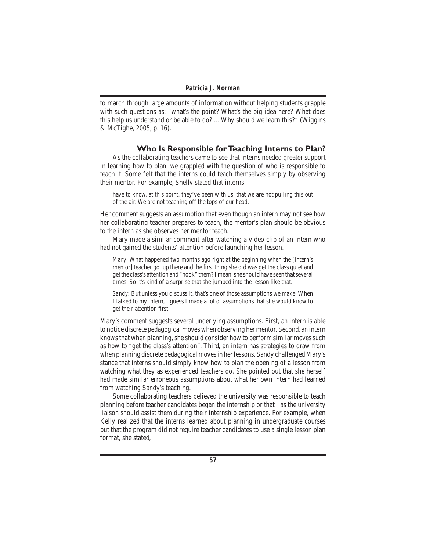to march through large amounts of information without helping students grapple with such questions as: "what's the point? What's the big idea here? What does this help us understand or be able to do? …Why should we learn this?" (Wiggins & McTighe, 2005, p. 16).

# **Who Is Responsible for Teaching Interns to Plan?**

 As the collaborating teachers came to see that interns needed greater support in learning how to plan, we grappled with the question of who is responsible to teach it. Some felt that the interns could teach themselves simply by observing their mentor. For example, Shelly stated that interns

have to know, at this point, they've been with us, that we are not pulling this out of the air. We are not teaching off the tops of our head.

Her comment suggests an assumption that even though an intern may not see how her collaborating teacher prepares to teach, the mentor's plan should be obvious to the intern as she observes her mentor teach.

 Mary made a similar comment after watching a video clip of an intern who had not gained the students' attention before launching her lesson.

*Mary*: What happened two months ago right at the beginning when the [intern's mentor] teacher got up there and the first thing she did was get the class quiet and get the class's attention and "hook" them? I mean, she should have seen that several times. So it's kind of a surprise that she jumped into the lesson like that.

*Sandy*: But unless you discuss it, that's one of those assumptions we make. When I talked to my intern, I guess I made a lot of assumptions that she would know to get their attention first.

Mary's comment suggests several underlying assumptions. First, an intern is able to notice discrete pedagogical moves when observing her mentor. Second, an intern knows that when planning, she should consider how to perform similar moves such as how to "get the class's attention". Third, an intern has strategies to draw from when planning discrete pedagogical moves in her lessons. Sandy challenged Mary's stance that interns should simply know how to plan the opening of a lesson from watching what they as experienced teachers do. She pointed out that she herself had made similar erroneous assumptions about what her own intern had learned from watching Sandy's teaching.

 Some collaborating teachers believed the university was responsible to teach planning before teacher candidates began the internship or that I as the university liaison should assist them during their internship experience. For example, when Kelly realized that the interns learned about planning in undergraduate courses but that the program did not require teacher candidates to use a single lesson plan format, she stated,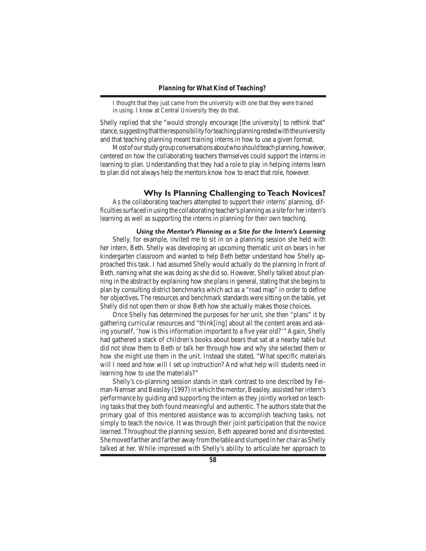I thought that they just came from the university with one that they were trained in using. I know at Central University they do that.

Shelly replied that she "would strongly encourage [the university] to rethink that" stance, suggesting that the responsibility for teaching planning rested with the university and that teaching planning meant training interns in how to use a given format.

Most of our study group conversations about who should teach planning, however, centered on how the collaborating teachers themselves could support the interns in learning to plan. Understanding *that* they had a role to play in helping interns learn to plan did not always help the mentors know *how* to enact that role, however.

# **Why Is Planning Challenging to Teach Novices?**

 As the collaborating teachers attempted to support their interns' planning, difficulties surfaced in using the collaborating teacher's planning as a site for her intern's learning as well as supporting the interns in planning for their own teaching.

# *Using the Mentor's Planning as a Site for the Intern's Learning*

Shelly, for example, invited me to sit in on a planning session she held with her intern, Beth. Shelly was developing an upcoming thematic unit on bears in her kindergarten classroom and wanted to help Beth better understand how Shelly approached this task. I had assumed Shelly would actually *do* the planning in front of Beth, naming what she was doing as she did so. However, Shelly talked *about* planning in the abstract by explaining how she plans in general, stating that she begins to plan by consulting district benchmarks which act as a "road map" in order to define her objectives. The resources and benchmark standards were sitting on the table, yet Shelly did not open them or show Beth how she actually makes those choices.

 Once Shelly has determined the purposes for her unit, she then "plans" it by gathering curricular resources and "think[ing] about all the content areas and asking yourself, 'how is this information important to a five year old?'" Again, Shelly had gathered a stack of children's books about bears that sat at a nearby table but did not show them to Beth or talk her through how and why she selected them or how she might use them in the unit. Instead she stated, "What specific materials will I need and how will I set up instruction? And what help will students need in learning how to use the materials?"

 Shelly's co-planning session stands in stark contrast to one described by Feiman-Nemser and Beasley (1997) in which the mentor, Beasley, assisted her intern's performance by guiding and supporting the intern as they jointly worked on teaching tasks that they both found meaningful and authentic. The authors state that the primary goal of this mentored assistance was to accomplish teaching tasks, not simply to teach the novice. It was through their joint participation that the novice learned. Throughout the planning session, Beth appeared bored and disinterested. She moved farther and farther away from the table and slumped in her chair as Shelly talked at her. While impressed with Shelly's ability to articulate her approach to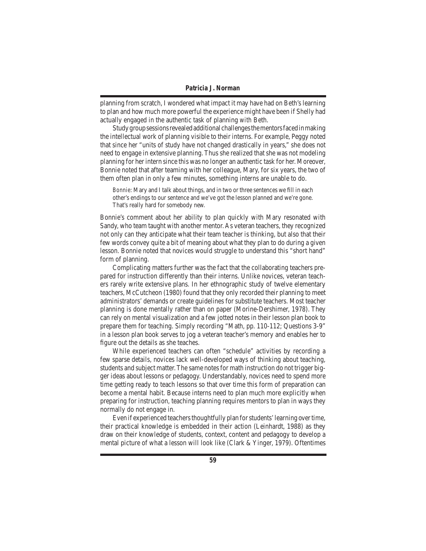planning from scratch, I wondered what impact it may have had on Beth's learning to plan and how much more powerful the experience might have been if Shelly had actually engaged in the authentic task of planning *with* Beth.

Study group sessions revealed additional challenges the mentors faced in making the intellectual work of planning visible to their interns. For example, Peggy noted that since her "units of study have not changed drastically in years," she does not need to engage in extensive planning. Thus she realized that she was not modeling planning for her intern since this was no longer an authentic task for her. Moreover, Bonnie noted that after teaming with her colleague, Mary, for six years, the two of them often plan in only a few minutes, something interns are unable to do.

*Bonnie*: Mary and I talk about things, and in two or three sentences we fill in each other's endings to our sentence and we've got the lesson planned and we're gone. That's really hard for somebody new.

Bonnie's comment about her ability to plan quickly with Mary resonated with Sandy, who team taught with another mentor. As veteran teachers, they recognized not only can they anticipate what their team teacher is thinking, but also that their few words convey quite a bit of meaning about what they plan to do during a given lesson. Bonnie noted that novices would struggle to understand this "short hand" form of planning.

 Complicating matters further was the fact that the collaborating teachers prepared for instruction differently than their interns. Unlike novices, veteran teachers rarely write extensive plans. In her ethnographic study of twelve elementary teachers, McCutcheon (1980) found that they only recorded their planning to meet administrators' demands or create guidelines for substitute teachers. Most teacher planning is done mentally rather than on paper (Morine-Dershimer, 1978). They can rely on mental visualization and a few jotted notes in their lesson plan book to prepare them for teaching. Simply recording "Math, pp. 110-112; Questions 3-9" in a lesson plan book serves to jog a veteran teacher's memory and enables her to figure out the details as she teaches.

 While experienced teachers can often "schedule" activities by recording a few sparse details, novices lack well-developed ways of thinking about teaching, students and subject matter. The same notes for math instruction do not trigger bigger ideas about lessons or pedagogy. Understandably, novices need to spend more time getting ready to teach lessons so that over time this form of preparation can become a mental habit. Because interns need to plan much more explicitly when preparing for instruction, teaching planning requires mentors to plan in ways they normally do not engage in.

Even if experienced teachers thoughtfully plan for students' learning over time, their practical knowledge is embedded in their action (Leinhardt, 1988) as they draw on their knowledge of students, context, content and pedagogy to develop a mental picture of what a lesson will look like (Clark & Yinger, 1979). Oftentimes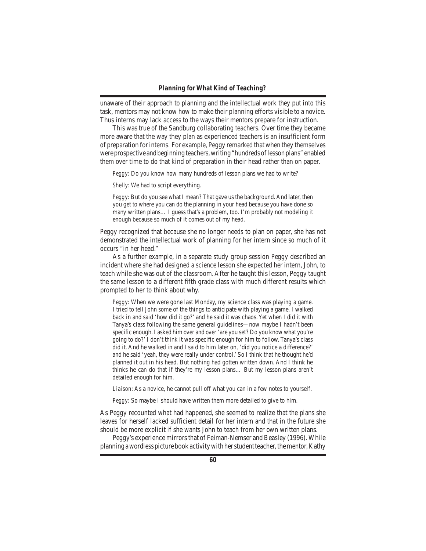unaware of their approach to planning and the intellectual work they put into this task, mentors may not know how to make their planning efforts visible to a novice. Thus interns may lack access to the ways their mentors prepare for instruction.

 This was true of the Sandburg collaborating teachers. Over time they became more aware that the way they plan as experienced teachers is an insufficient form of preparation forinterns. For example, Peggy remarked that when they themselves were prospective and beginning teachers, writing "hundreds of lesson plans" enabled them over time to do that kind of preparation in their head rather than on paper.

*Peggy*: Do you know how many hundreds of lesson plans we had to write?

*Shelly*: We had to script everything.

*Peggy*: But do you see what I mean? That gave us the background. And later, then you get to where you can do the planning in your head because you have done so many written plans… I guess that's a problem, too. I'm probably not modeling it enough because so much of it comes out of my head.

Peggy recognized that because she no longer needs to plan on paper, she has not demonstrated the intellectual work of planning for her intern since so much of it occurs "in her head."

 As a further example, in a separate study group session Peggy described an incident where she had designed a science lesson she expected her intern, John, to teach while she was out of the classroom. After he taught this lesson, Peggy taught the same lesson to a different fifth grade class with much different results which prompted to her to think about why.

*Peggy*: When we were gone last Monday, my science class was playing a game. I tried to tell John some of the things to anticipate with playing a game. I walked back in and said 'how did it go?' and he said it was chaos. Yet when I did it with Tanya's class following the same general guidelines—now maybe I hadn't been specific enough. I asked him over and over 'are you set? Do you know what you're going to do?'I don't think it was specific enough for him to follow. Tanya's class did it. And he walked in and I said to him later on, 'did you notice a difference?' and he said 'yeah, they were really under control.' So I think that he thought he'd planned it out in his head. But nothing had gotten written down. And I think he thinks he can do that if they're my lesson plans… But my lesson plans aren't detailed enough for him.

*Liaison*: As a novice, he cannot pull off what you can in a few notes to yourself.

*Peggy*: So maybe I should have written them more detailed to give to him.

As Peggy recounted what had happened, she seemed to realize that the plans she leaves for herself lacked sufficient detail for her intern and that in the future she should be more explicit if she wants John to teach from her own written plans.

Peggy's experience mirrors that of Feiman-Nemser and Beasley (1996). While planning a wordless picture book activity with her student teacher, the mentor, Kathy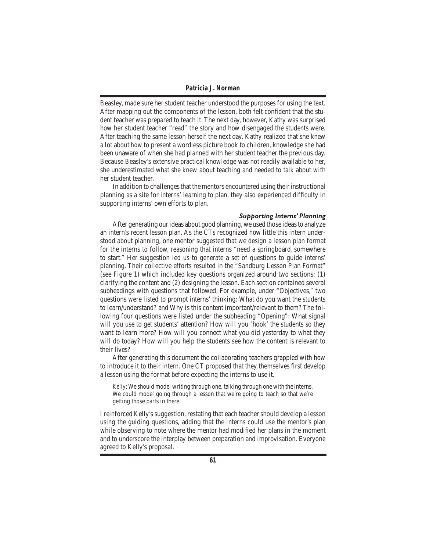Beasley, made sure her student teacher understood the purposes for using the text. After mapping out the components of the lesson, both felt confident that the student teacher was prepared to teach it. The next day, however, Kathy was surprised how her student teacher "read" the story and how disengaged the students were. After teaching the same lesson herself the next day, Kathy realized that she knew a lot about *how* to present a wordless picture book to children, knowledge she had been unaware of when she had planned with her student teacher the previous day. Because Beasley's extensive practical knowledge was not readily available to her, she underestimated what she knew about teaching and needed to talk about with her student teacher.

In addition to challenges that the mentors encountered using their instructional planning as a site for interns' learning to plan, they also experienced difficulty in supporting interns' own efforts to plan.

#### *Supporting Interns' Planning*

After generating our ideas about good planning, we used those ideas to analyze an intern's recent lesson plan. As the CTs recognized how little this intern understood about planning, one mentor suggested that we design a lesson plan format for the interns to follow, reasoning that interns "need a springboard, somewhere to start." Her suggestion led us to generate a set of questions to guide interns' planning. Their collective efforts resulted in the "Sandburg Lesson Plan Format" (see Figure 1) which included key questions organized around two sections: (1) clarifying the content and (2) designing the lesson. Each section contained several subheadings with questions that followed. For example, under "Objectives," two questions were listed to prompt interns' thinking: What do you want the students to learn/understand? and Why is this content important/relevant to them? The following four questions were listed under the subheading "Opening": What signal will you use to get students' attention? How will you 'hook' the students so they want to learn more? How will you connect what you did yesterday to what they will do today? How will you help the students see how the content is relevant to their lives?

 After generating this document the collaborating teachers grappled with how to introduce it to their intern. One CT proposed that they themselves first develop a lesson using the format before expecting the interns to use it.

*Kelly*: We should model writing through one, talking through one with the interns. We could model going through a lesson that we're going to teach so that we're getting those parts in there.

I reinforced Kelly's suggestion, restating that each teacher should develop a lesson using the guiding questions, adding that the interns could use the mentor's plan while observing to note where the mentor had modified her plans in the moment and to underscore the interplay between preparation and improvisation. Everyone agreed to Kelly's proposal.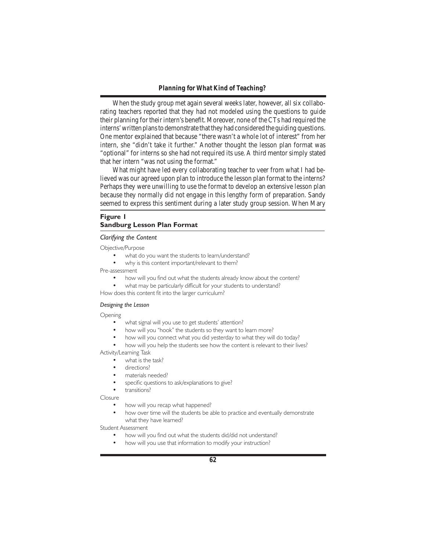When the study group met again several weeks later, however, all six collaborating teachers reported that they had not modeled using the questions to guide their planning for their intern's benefit. Moreover, none of the CTs had required the interns' written plans to demonstrate that they had considered the guiding questions. One mentor explained that because "there wasn't a whole lot of interest" from her intern, she "didn't take it further." Another thought the lesson plan format was "optional" for interns so she had not required its use. A third mentor simply stated that her intern "was not using the format."

 What might have led every collaborating teacher to veer from what I had believed was our agreed upon plan to introduce the lesson plan format to the interns? Perhaps they were unwilling to use the format to develop an extensive lesson plan because they normally did not engage in this lengthy form of preparation. Sandy seemed to express this sentiment during a later study group session. When Mary

# **Figure 1 Sandburg Lesson Plan Format**

#### *Clarifying the Content*

Objective/Purpose

- what do you want the students to learn/understand?
- why is this content important/relevant to them?

Pre-assessment

- how will you find out what the students already know about the content?
- what may be particularly difficult for your students to understand?

How does this content fit into the larger curriculum?

### *Designing the Lesson*

Opening

- what signal will you use to get students' attention?
- how will you "hook" the students so they want to learn more?
- how will you connect what you did yesterday to what they will do today?
- how will you help the students see how the content is relevant to their lives?

Activity/Learning Task

- what is the task?
- directions?
- materials needed?
- specific questions to ask/explanations to give?

transitions?

Closure

- how will you recap what happened?
- how over time will the students be able to practice and eventually demonstrate what they have learned?

Student Assessment

- how will you find out what the students did/did not understand?
	- how will you use that information to modify your instruction?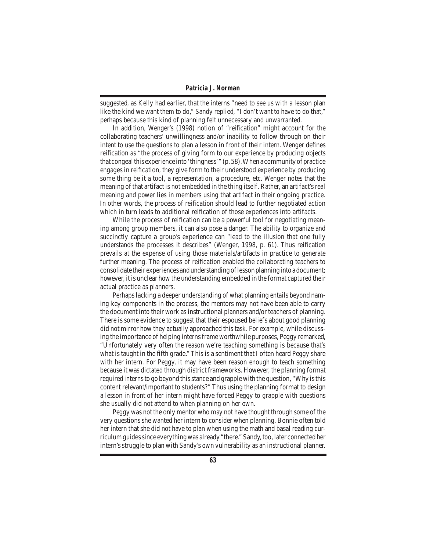suggested, as Kelly had earlier, that the interns "need to see us with a lesson plan like the kind we want them to do," Sandy replied, "I don't want to have to do that," perhaps because this kind of planning felt unnecessary and unwarranted.

 In addition, Wenger's (1998) notion of "reification" might account for the collaborating teachers' unwillingness and/or inability to follow through on their intent to use the questions to plan a lesson in front of their intern. Wenger defines reification as "the process of giving form to our experience by producing objects that congeal this experience into 'thingness'" (p. 58). When a community of practice engages in reification, they give form to their understood experience by producing some thing be it a tool, a representation, a procedure, etc. Wenger notes that the meaning of that artifact is not embedded in the thing itself. Rather, an artifact's real meaning and power lies in members using that artifact in their ongoing practice. In other words, the process of reification should lead to further negotiated action which in turn leads to additional reification of those experiences into artifacts.

 While the process of reification can be a powerful tool for negotiating meaning among group members, it can also pose a danger. The ability to organize and succinctly capture a group's experience can "lead to the illusion that one fully understands the processes it describes" (Wenger, 1998, p. 61). Thus reification prevails at the expense of using those materials/artifacts in practice to generate further meaning. The process of reification enabled the collaborating teachers to consolidate their experiences and understanding of lesson planning into a document; however, it is unclear how the understanding embedded in the format captured their actual practice as planners.

Perhaps lacking a deeper understanding of what planning entails beyond naming key components in the process, the mentors may not have been able to carry the document into their work as instructional planners and/or teachers of planning. There is some evidence to suggest that their espoused beliefs about good planning did not mirror how they actually approached this task. For example, while discussing the importance of helping interns frame worthwhile purposes, Peggy remarked, "Unfortunately very often the reason we're teaching something is because that's what is taught in the fifth grade." This is a sentiment that I often heard Peggy share with her intern. For Peggy, it may have been reason enough to teach something because it was dictated through district frameworks. However, the planning format required interns to go beyond this stance and grapple with the question, "Why is this content relevant/important to students?" Thus using the planning format to design a lesson in front of her intern might have forced Peggy to grapple with questions she usually did not attend to when planning on her own.

 Peggy was not the only mentor who may not have thought through some of the very questions she wanted her intern to consider when planning. Bonnie often told her intern that she did not have to plan when using the math and basal reading curriculum guides since everything was already "there." Sandy, too, later connected her intern's struggle to plan with Sandy's own vulnerability as an instructional planner.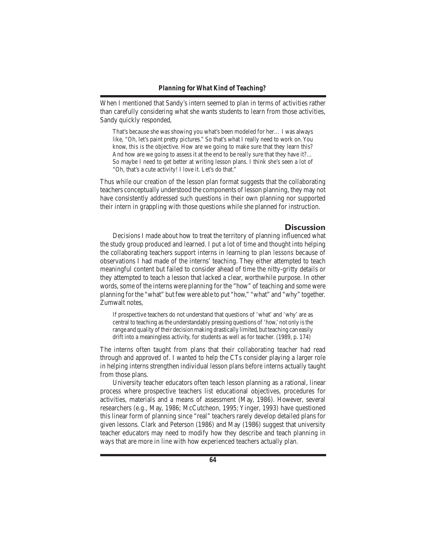When I mentioned that Sandy's intern seemed to plan in terms of activities rather than carefully considering what she wants students to learn from those activities, Sandy quickly responded,

That's because she was showing you what's been modeled for her… I was always like, "Oh, let's paint pretty pictures." So that's what I really need to work on. You know, this is the objective. How are we going to make sure that they learn this? And how are we going to assess it at the end to be really sure that they have it?… So maybe I need to get better at writing lesson plans. I think she's seen a lot of "Oh, that's a cute activity! I love it. Let's do that."

Thus while our creation of the lesson plan format suggests that the collaborating teachers conceptually understood the components of lesson planning, they may not have consistently addressed such questions in their own planning nor supported their intern in grappling with those questions while she planned for instruction.

# **Discussion**

 Decisions I made about how to treat the territory of planning influenced what the study group produced and learned. I put a lot of time and thought into helping the collaborating teachers support interns in learning to plan *lessons* because of observations I had made of the interns' teaching. They either attempted to teach meaningful content but failed to consider ahead of time the nitty-gritty details or they attempted to teach a lesson that lacked a clear, worthwhile purpose. In other words, some of the interns were planning for the "how" of teaching and some were planning for the "what" but few were able to put "how," "what" and "why" together. Zumwalt notes,

If prospective teachers do not understand that questions of 'what' and 'why' are as central to teaching asthe understandably pressing questions of 'how,'not only isthe range and quality of their decision making drastically limited, but teaching can easily drift into a meaningless activity, for students as well as for teacher. (1989, p. 174)

The interns often taught from plans that their collaborating teacher had read through and approved of. I wanted to help the CTs consider playing a larger role in helping interns strengthen individual lesson plans *before* interns actually taught from those plans.

 University teacher educators often teach lesson planning as a rational, linear process where prospective teachers list educational objectives, procedures for activities, materials and a means of assessment (May, 1986). However, several researchers (e.g., May, 1986; McCutcheon, 1995; Yinger, 1993) have questioned this linear form of planning since "real" teachers rarely develop detailed plans for given lessons. Clark and Peterson (1986) and May (1986) suggest that university teacher educators may need to modify how they describe and teach planning in ways that are more in line with how experienced teachers actually plan.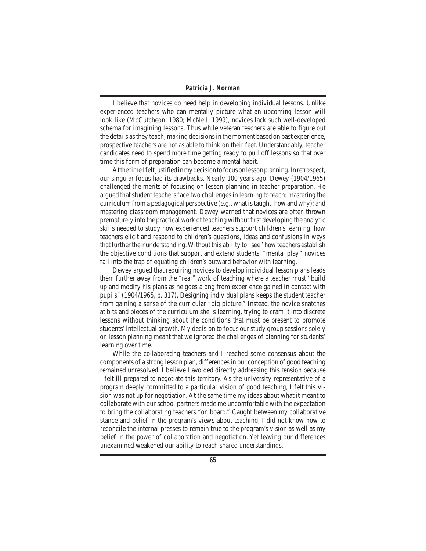I believe that novices *do* need help in developing individual lessons. Unlike experienced teachers who can mentally picture what an upcoming lesson will look like (McCutcheon, 1980; McNeil, 1999), novices lack such well-developed schema for imagining lessons. Thus while veteran teachers are able to figure out the details asthey teach, making decisionsin the moment based on past experience, prospective teachers are not as able to think on their feet. Understandably, teacher candidates need to spend more time getting ready to pull off lessons so that over time this form of preparation can become a mental habit.

At the time I felt justified in my decision to focus on lesson planning. In retrospect, our singular focus had its drawbacks. Nearly 100 years ago, Dewey (1904/1965) challenged the merits of focusing on lesson planning in teacher preparation. He argued that student teachers face two challenges in learning to teach: mastering the curriculum from a pedagogical perspective (e.g.. what istaught, how and why); and mastering classroom management. Dewey warned that novices are often thrown prematurely into the practical work ofteaching without first developing the analytic skills needed to study how experienced teachers support children's learning, how teachers elicit and respond to children's questions, ideas and confusions in ways that further their understanding. Without this ability to "see" how teachers establish the objective conditions that support and extend students' "mental play," novices fall into the trap of equating children's outward behavior with learning.

 Dewey argued that requiring novices to develop individual lesson plans leads them further away from the "real" work of teaching where a teacher must "build up and modify his plans as he goes along from experience gained in contact with pupils" (1904/1965, p. 317). Designing individual plans keeps the student teacher from gaining a sense of the curricular "big picture." Instead, the novice snatches at bits and pieces of the curriculum she is learning, trying to cram it into discrete lessons without thinking about the conditions that must be present to promote students'intellectual growth. My decision to focus our study group sessions solely on lesson planning meant that we ignored the challenges of planning for students' learning over time.

 While the collaborating teachers and I reached some consensus about the components of a strong lesson plan, differencesin our conception of good teaching remained unresolved. I believe I avoided directly addressing this tension because I felt ill prepared to negotiate this territory. As the university representative of a program deeply committed to a particular vision of good teaching, I felt this vision was not up for negotiation. At the same time my ideas about what it meant to collaborate with our school partners made me uncomfortable with the expectation to bring the collaborating teachers "on board." Caught between my collaborative stance and belief in the program's views about teaching, I did not know how to reconcile the internal presses to remain true to the program's vision as well as my belief in the power of collaboration and negotiation. Yet leaving our differences unexamined weakened our ability to reach shared understandings.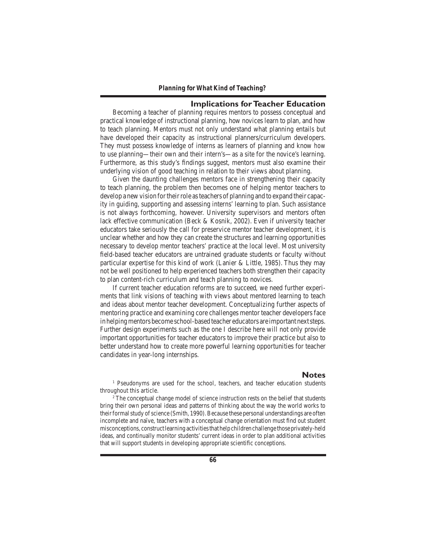# **Implications for Teacher Education**

 Becoming a teacher of planning requires mentors to possess conceptual and practical knowledge of instructional planning, how novices learn to plan, and how to teach planning. Mentors must not only understand what planning entails but have developed their capacity as instructional planners/curriculum developers. They must possess knowledge of interns as learners of planning and know *how* to use planning—their own and their intern's—as a site for the novice's learning. Furthermore, as this study's findings suggest, mentors must also examine their underlying vision of good teaching in relation to their views about planning.

 Given the daunting challenges mentors face in strengthening their capacity to teach planning, the problem then becomes one of helping mentor teachers to develop a new vision fortheirrole asteachers of planning and to expand their capacity in guiding, supporting and assessing interns' learning to plan. Such assistance is not always forthcoming, however. University supervisors and mentors often lack effective communication (Beck & Kosnik, 2002). Even if university teacher educators take seriously the call for preservice mentor teacher development, it is unclear whether and how they can create the structures and learning opportunities necessary to develop mentor teachers' practice at the local level. Most university field-based teacher educators are untrained graduate students or faculty without particular expertise for this kind of work (Lanier & Little, 1985). Thus they may not be well positioned to help experienced teachers both strengthen their capacity to plan content-rich curriculum and teach planning to novices.

 If current teacher education reforms are to succeed, we need further experiments that link visions of teaching with views about mentored learning to teach and ideas about mentor teacher development. Conceptualizing further aspects of mentoring practice and examining core challenges mentor teacher developers face in helping mentors become school-based teacher educators are important next steps. Further design experiments such as the one I describe here will not only provide important opportunities for teacher educators to improve their practice but also to better understand how to create more powerful learning opportunities for teacher candidates in year-long internships.

# **Notes**

<sup>1</sup> Pseudonyms are used for the school, teachers, and teacher education students throughout this article.

<sup>2</sup> The conceptual change model of science instruction rests on the belief that students bring their own personal ideas and patterns of thinking about the way the world works to their formal study of science (Smith, 1990). Because these personal understandings are often incomplete and naïve, teachers with a conceptual change orientation must find out student misconceptions, constructlearning activitiesthathelpchildrenchallenge thoseprivately-held ideas, and continually monitor students' current ideas in order to plan additional activities that will support students in developing appropriate scientific conceptions.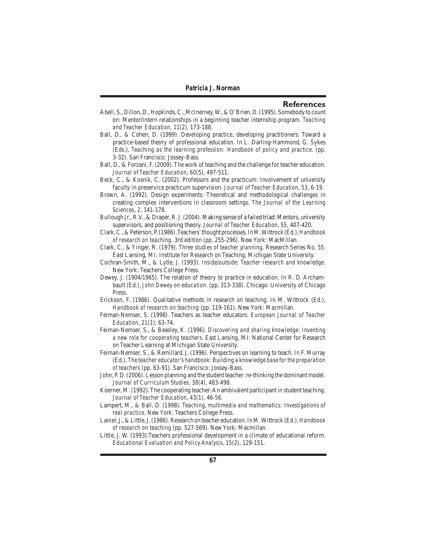#### **References**

- Abell, S.,Dillon,D.,Hopkinds,C.,McInerney,W.,&O'Brien,D.(1995). Somebody to count on: Mentor/intern relationships in a beginning teacher internship program. *Teaching and Teacher Education*, *11*(2)*,* 173-188.
- Ball, D., & Cohen, D. (1999). Developing practice, developing practitioners: Toward a practice-based theory of professional education. In L. Darling-Hammond, G. Sykes (Eds.), *Teaching as the learning profession: Handbook of policy and practice*. (pp. 3-32). San Francisco: Jossey-Bass.
- Ball, D., & Forzani, F. (2009). The work of teaching and the challenge for teacher education. *Journal of Teacher Education*, *60*(5), 497-511.
- Beck, C., & Kosnik, C. (2002). Professors and the practicum: Involvement of university faculty in preservice practicum supervision. *Journal of Teacher Education*, *53*, 6-19.
- Brown, A. (1992). Design experiments: Theoretical and methodological challenges in creating complex interventions in classroom settings. *The Journal of the Learning Sciences*, *2*, 141-178.
- Bullough Jr., R.V., & Draper, R.J. (2004). Making sense of a failed triad: Mentors, university supervisors, and positioning theory. *Journal of Teacher Education, 55*, 407-420.
- Clark,C.,&Peterson,P.(1986).Teachers'thoughtprocesses.InM.Wittrock(Ed.),*Handbook of research on teaching*. 3rd edition (pp. 255-296). New York: MacMillan.
- Clark, C., &Yinger, R. (1979). *Three studies of teacher planning*. Research Series No. 55. East Lansing, MI: Institute for Research on Teaching, Michigan State University.
- Cochran-Smith, M., & Lytle, J. (1993). *Inside/outside: Teacher research and knowledge*. New York: Teachers College Press.
- Dewey, J. (1904/1965). The relation of theory to practice in education. In R. D. Archambault (Ed.), *John Dewey on education*. (pp. 313-338). Chicago: University of Chicago Press.
- Erickson, F. (1986). Qualitative methods in research on teaching. In M. Wittrock (Ed.), *Handbook of research on teaching* (pp. 119-161). New York: Macmillan.
- Feiman-Nemser, S. (1998). Teachers as teacher educators. *European Journal of Teacher Education*, *21*(1)*,* 63-74.
- Feiman-Nemser, S., & Beasley, K. (1996). *Discovering and sharing knowledge: Inventing a new role for cooperating teachers*. East Lansing, MI: National Center for Research on Teacher Learning at Michigan State University.
- Feiman-Nemser, S., & Remillard, J. (1996). Perspectives on learning to teach. In F. Murray (Ed.), *The teacher educator's handbook: Building a knowledge base for the preparation of teachers* (pp. 63-91). San Francisco: Jossey-Bass.
- John, P. D. (2006). Lesson planning and the student teacher: re-thinking the dominant model. *Journal of Curriculum Studies, 38*(4), 483-498.
- Koerner, M. (1992). The cooperating teacher: An ambivalent participant in student teaching. *Journal of Teacher Education*, *43*(1)*,* 46-56.
- Lampert, M., & Ball, D. (1998). *Teaching, multimedia and mathematics: Investigations of real practice.* New York: Teachers College Press.
- Lanier,J.,&Little,J.(1986).Research on teacher education.InM.Wittrock (Ed.), *Handbook of research on teaching* (pp. 527-569). New York: Macmillan.
- Little, J. W. (1993).Teachers professional development in a climate of educational reform. *Educational Evaluation and Policy Analysis, 15*(2), 129-151.